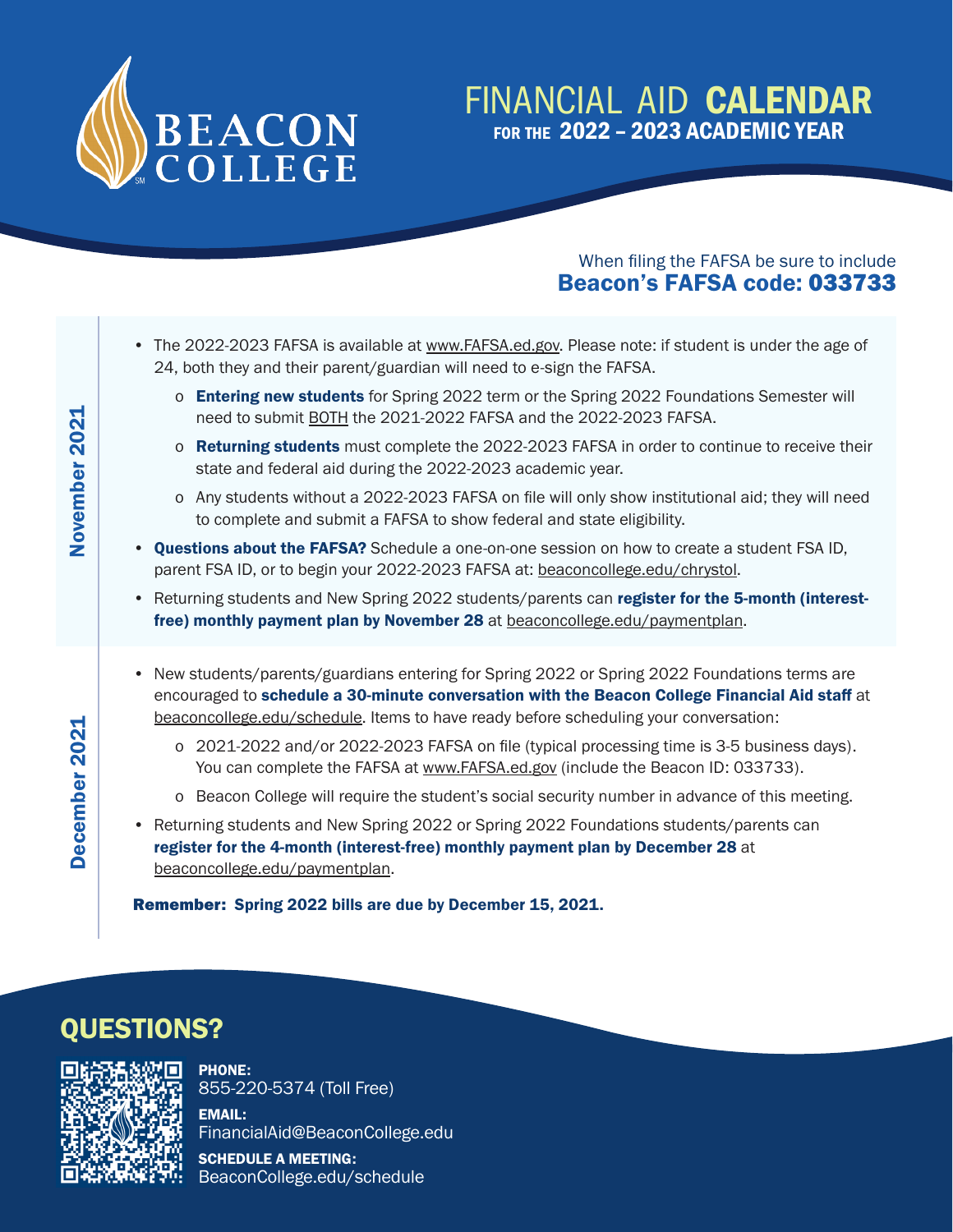

#### FINANCIAL AID CALENDAR for the 2022 – 2023 ACADEMIC YEAR

#### When filing the FAFSA be sure to include Beacon's FAFSA code: 033733

- The 2022-2023 FAFSA is available at www.FAFSA.ed.gov. Please note: if student is under the age of 24, both they and their parent/guardian will need to e-sign the FAFSA.
	- o **Entering new students** for Spring 2022 term or the Spring 2022 Foundations Semester will need to submit BOTH the 2021-2022 FAFSA and the 2022-2023 FAFSA.
	- o **Returning students** must complete the 2022-2023 FAFSA in order to continue to receive their state and federal aid during the 2022-2023 academic year.
	- o Any students without a 2022-2023 FAFSA on file will only show institutional aid; they will need to complete and submit a FAFSA to show federal and state eligibility.
- Questions about the FAFSA? Schedule a one-on-one session on how to create a student FSA ID, parent FSA ID, or to begin your 2022-2023 FAFSA at: beaconcollege.edu/chrystol.
- Returning students and New Spring 2022 students/parents can register for the 5-month (interestfree) monthly payment plan by November 28 at beaconcollege.edu/paymentplan.
- New students/parents/guardians entering for Spring 2022 or Spring 2022 Foundations terms are encouraged to schedule a 30-minute conversation with the Beacon College Financial Aid staff at beaconcollege.edu/schedule. Items to have ready before scheduling your conversation:
	- o 2021-2022 and/or 2022-2023 FAFSA on file (typical processing time is 3-5 business days). You can complete the FAFSA at www.FAFSA.ed.gov (include the Beacon ID: 033733).
	- o Beacon College will require the student's social security number in advance of this meeting.
- Returning students and New Spring 2022 or Spring 2022 Foundations students/parents can register for the 4-month (interest-free) monthly payment plan by December 28 at beaconcollege.edu/paymentplan.

Remember: Spring 2022 bills are due by December 15, 2021.

### QUESTIONS?



December 2021 November 2021

December 2021

November 2021

PHONE: 855-220-5374 (Toll Free)

EMAIL: FinancialAid@BeaconCollege.edu

SCHEDULE A MEETING: BeaconCollege.edu/schedule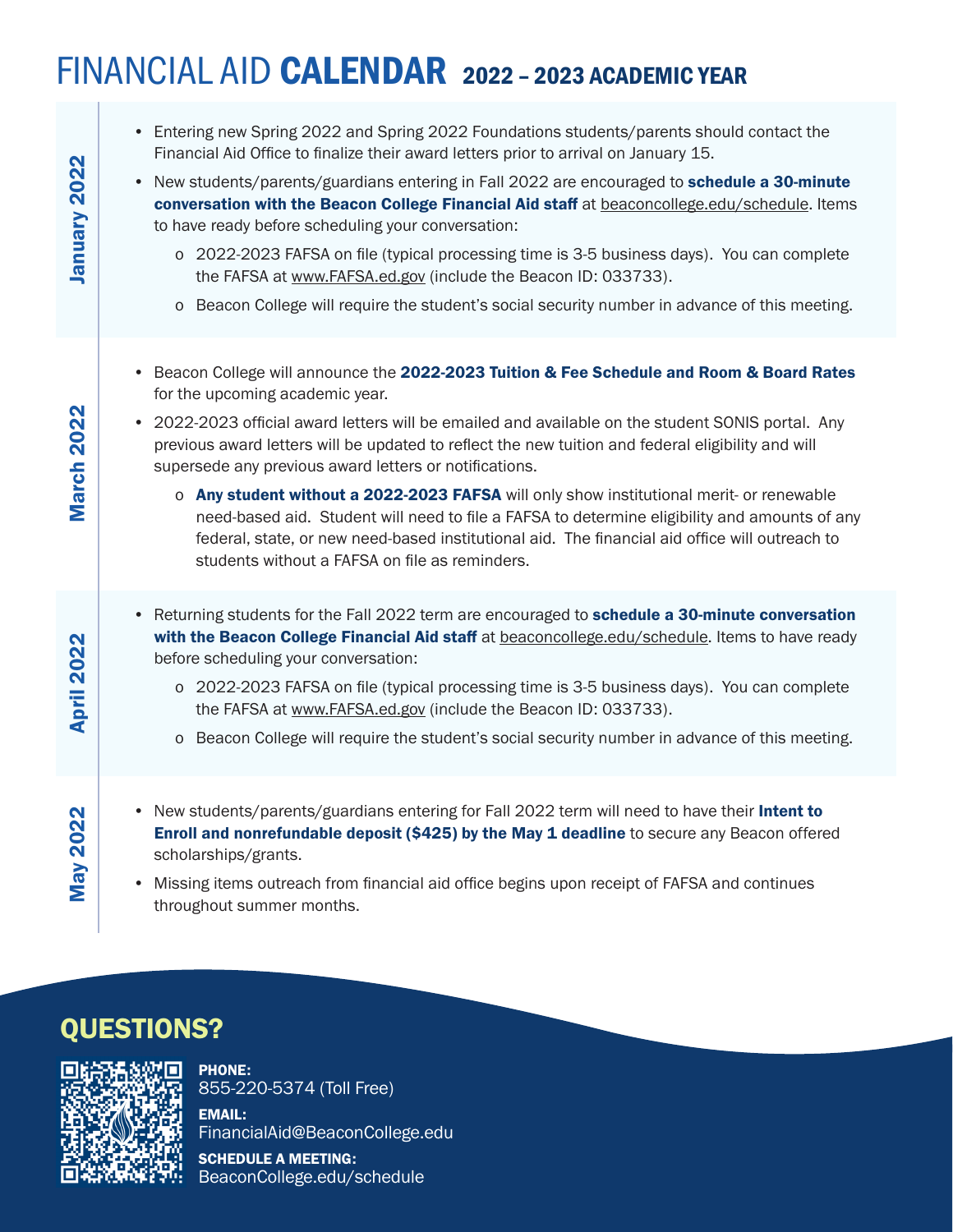# FINANCIAL AID CALENDAR 2022 – 2023 ACADEMIC YEAR

| January 2022      | • Entering new Spring 2022 and Spring 2022 Foundations students/parents should contact the<br>Financial Aid Office to finalize their award letters prior to arrival on January 15.<br>• New students/parents/guardians entering in Fall 2022 are encouraged to schedule a 30-minute<br>conversation with the Beacon College Financial Aid staff at beaconcollege.edu/schedule. Items<br>to have ready before scheduling your conversation:<br>o 2022-2023 FAFSA on file (typical processing time is 3-5 business days). You can complete<br>the FAFSA at www.FAFSA.ed.gov (include the Beacon ID: 033733).<br>Beacon College will require the student's social security number in advance of this meeting.<br>$\circ$                               |
|-------------------|-----------------------------------------------------------------------------------------------------------------------------------------------------------------------------------------------------------------------------------------------------------------------------------------------------------------------------------------------------------------------------------------------------------------------------------------------------------------------------------------------------------------------------------------------------------------------------------------------------------------------------------------------------------------------------------------------------------------------------------------------------|
| March 2022        | • Beacon College will announce the 2022-2023 Tuition & Fee Schedule and Room & Board Rates<br>for the upcoming academic year.<br>• 2022-2023 official award letters will be emailed and available on the student SONIS portal. Any<br>previous award letters will be updated to reflect the new tuition and federal eligibility and will<br>supersede any previous award letters or notifications.<br>o Any student without a 2022-2023 FAFSA will only show institutional merit- or renewable<br>need-based aid. Student will need to file a FAFSA to determine eligibility and amounts of any<br>federal, state, or new need-based institutional aid. The financial aid office will outreach to<br>students without a FAFSA on file as reminders. |
| <b>April 2022</b> | • Returning students for the Fall 2022 term are encouraged to schedule a 30-minute conversation<br>with the Beacon College Financial Aid staff at beaconcollege.edu/schedule. Items to have ready<br>before scheduling your conversation:<br>o 2022-2023 FAFSA on file (typical processing time is 3-5 business days). You can complete<br>the FAFSA at www.FAFSA.ed.gov (include the Beacon ID: 033733).<br>o Beacon College will require the student's social security number in advance of this meeting.                                                                                                                                                                                                                                         |
| <b>May 2022</b>   | New students/parents/guardians entering for Fall 2022 term will need to have their Intent to<br>Enroll and nonrefundable deposit (\$425) by the May 1 deadline to secure any Beacon offered<br>scholarships/grants.<br>Missing items outreach from financial aid office begins upon receipt of FAFSA and continues<br>$\bullet$<br>throughout summer months.                                                                                                                                                                                                                                                                                                                                                                                        |

## QUESTIONS?



PHONE: 855-220-5374 (Toll Free)

EMAIL: FinancialAid@BeaconCollege.edu

SCHEDULE A MEETING: BeaconCollege.edu/schedule